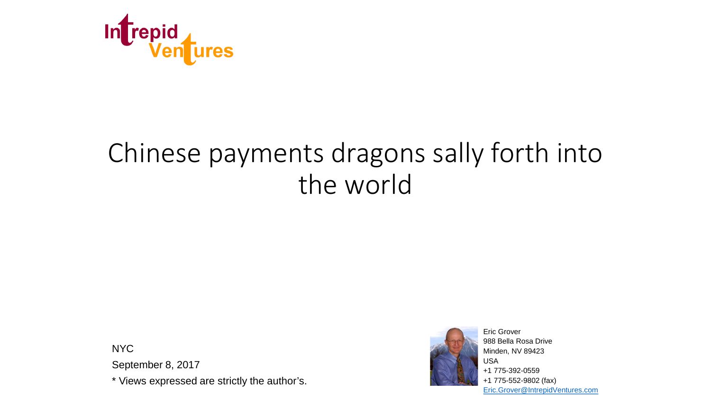

# Chinese payments dragons sally forth into the world

NYC

September 8, 2017

\* Views expressed are strictly the author's.



Eric Grover 988 Bella Rosa Drive Minden, NV 89423 USA +1 775-392-0559 +1 775-552-9802 (fax) [Eric.Grover@IntrepidVentures.com](mailto:Eric.Grover@IntrepidVentures.com)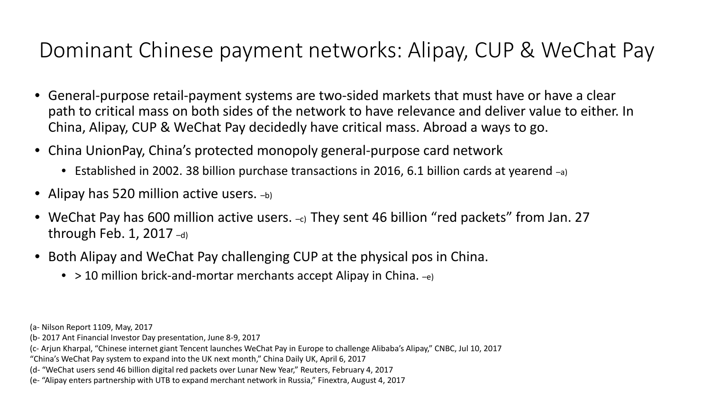## Dominant Chinese payment networks: Alipay, CUP & WeChat Pay

- General-purpose retail-payment systems are two-sided markets that must have or have a clear path to critical mass on both sides of the network to have relevance and deliver value to either. In China, Alipay, CUP & WeChat Pay decidedly have critical mass. Abroad a ways to go.
- China UnionPay, China's protected monopoly general-purpose card network
	- Established in 2002. 38 billion purchase transactions in 2016, 6.1 billion cards at yearend –a)
- Alipay has 520 million active users.  $-$ b)
- WeChat Pay has 600 million active users. -c) They sent 46 billion "red packets" from Jan. 27 through Feb. 1, 2017 $-$ d)
- Both Alipay and WeChat Pay challenging CUP at the physical pos in China.
	- $\bullet$  > 10 million brick-and-mortar merchants accept Alipay in China.  $-e$ )

- (b- 2017 Ant Financial Investor Day presentation, June 8-9, 2017
- (c- Arjun Kharpal, "Chinese internet giant Tencent launches WeChat Pay in Europe to challenge Alibaba's Alipay," CNBC, Jul 10, 2017

- (d- "WeChat users send 46 billion digital red packets over Lunar New Year," Reuters, February 4, 2017
- (e- "Alipay enters partnership with UTB to expand merchant network in Russia," Finextra, August 4, 2017

<sup>(</sup>a- Nilson Report 1109, May, 2017

<sup>&</sup>quot;China's WeChat Pay system to expand into the UK next month," China Daily UK, April 6, 2017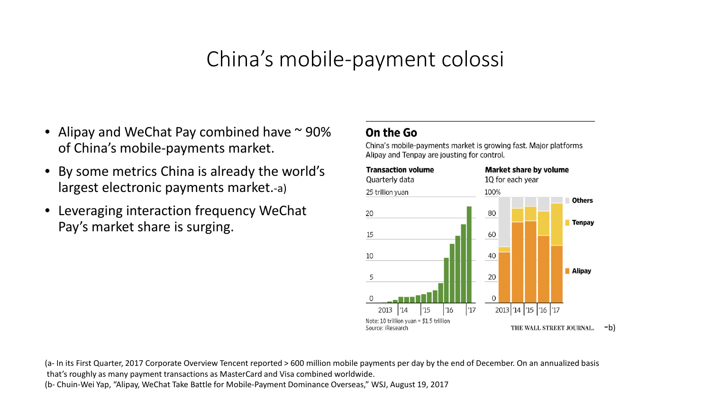#### China's mobile-payment colossi

- Alipay and WeChat Pay combined have  $\sim$  90% of China's mobile-payments market.
- By some metrics China is already the world's largest electronic payments market.-a)
- Leveraging interaction frequency WeChat Pay's market share is surging.

#### On the Go

China's mobile-payments market is growing fast. Major platforms Alipay and Tenpay are jousting for control.



(a- In its First Quarter, 2017 Corporate Overview Tencent reported > 600 million mobile payments per day by the end of December. On an annualized basis that's roughly as many payment transactions as MasterCard and Visa combined worldwide.

(b- Chuin-Wei Yap, "Alipay, WeChat Take Battle for Mobile-Payment Dominance Overseas," WSJ, August 19, 2017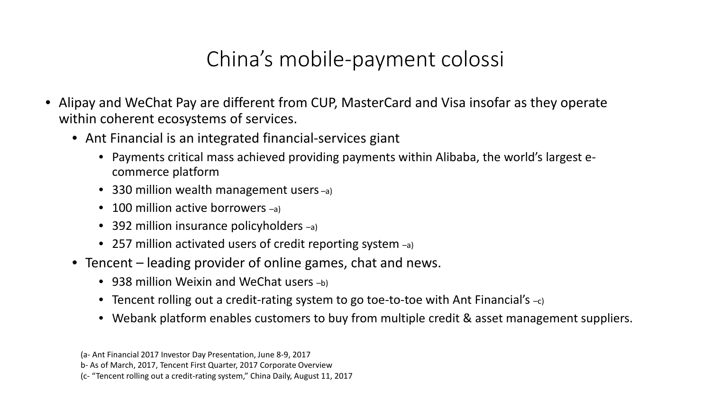# China's mobile-payment colossi

- Alipay and WeChat Pay are different from CUP, MasterCard and Visa insofar as they operate within coherent ecosystems of services.
	- Ant Financial is an integrated financial-services giant
		- Payments critical mass achieved providing payments within Alibaba, the world's largest ecommerce platform
		- 330 million wealth management users –a)
		- 100 million active borrowers -a)
		- 392 million insurance policyholders -a)
		- 257 million activated users of credit reporting system  $-a$ )
	- Tencent leading provider of online games, chat and news.
		- 938 million Weixin and WeChat users  $-$ b)
		- Tencent rolling out a credit-rating system to go toe-to-toe with Ant Financial's  $-c$ )
		- Webank platform enables customers to buy from multiple credit & asset management suppliers.

<sup>(</sup>a- Ant Financial 2017 Investor Day Presentation, June 8-9, 2017 b- As of March, 2017, Tencent First Quarter, 2017 Corporate Overview (c- "Tencent rolling out a credit-rating system," China Daily, August 11, 2017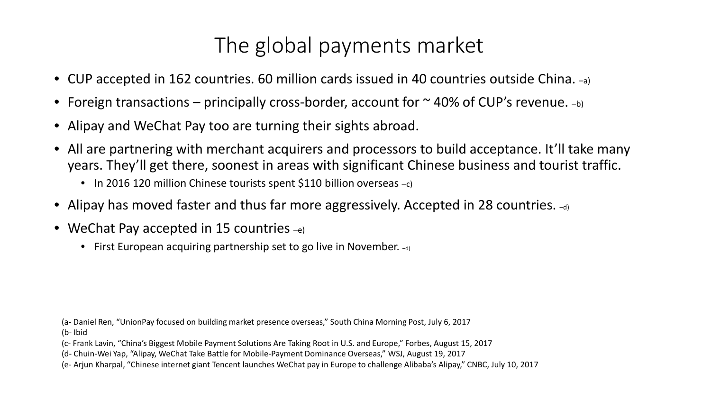# The global payments market

- CUP accepted in 162 countries. 60 million cards issued in 40 countries outside China. –a)
- Foreign transactions principally cross-border, account for  $\sim$  40% of CUP's revenue.  $-\mathbf{b}$
- Alipay and WeChat Pay too are turning their sights abroad.
- All are partnering with merchant acquirers and processors to build acceptance. It'll take many years. They'll get there, soonest in areas with significant Chinese business and tourist traffic.
	- In 2016 120 million Chinese tourists spent \$110 billion overseas  $-c$ )
- Alipay has moved faster and thus far more aggressively. Accepted in 28 countries.  $\mathcal{A}_{\text{d}}$
- WeChat Pay accepted in 15 countries  $-e$ )
	- First European acquiring partnership set to go live in November.  $-d_0$

(a- Daniel Ren, "UnionPay focused on building market presence overseas," South China Morning Post, July 6, 2017 (b- Ibid

(c- Frank Lavin, "China's Biggest Mobile Payment Solutions Are Taking Root in U.S. and Europe," Forbes, August 15, 2017

(d- Chuin-Wei Yap, "Alipay, WeChat Take Battle for Mobile-Payment Dominance Overseas," WSJ, August 19, 2017

(e- Arjun Kharpal, "Chinese internet giant Tencent launches WeChat pay in Europe to challenge Alibaba's Alipay," CNBC, July 10, 2017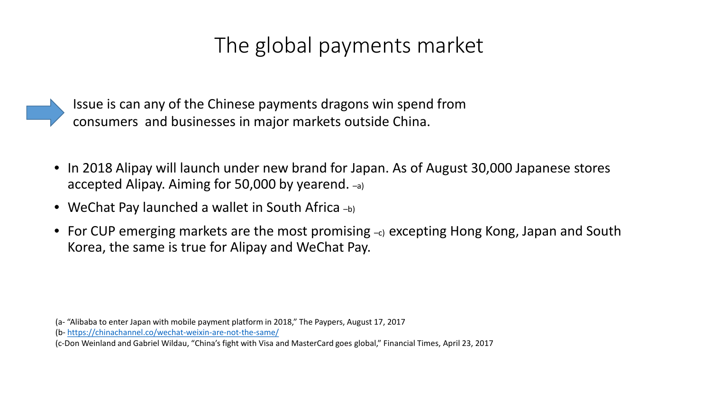# The global payments market

Issue is can any of the Chinese payments dragons win spend from consumers and businesses in major markets outside China.

- In 2018 Alipay will launch under new brand for Japan. As of August 30,000 Japanese stores accepted Alipay. Aiming for 50,000 by yearend. –a)
- WeChat Pay launched a wallet in South Africa  $-$ b)
- For CUP emerging markets are the most promising –c) excepting Hong Kong, Japan and South Korea, the same is true for Alipay and WeChat Pay.

(a- "Alibaba to enter Japan with mobile payment platform in 2018," The Paypers, August 17, 2017

(b- <https://chinachannel.co/wechat-weixin-are-not-the-same/>

(c-Don Weinland and Gabriel Wildau, "China's fight with Visa and MasterCard goes global," Financial Times, April 23, 2017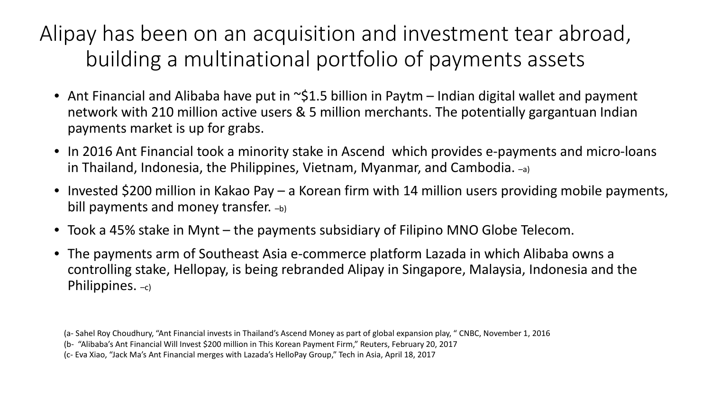# Alipay has been on an acquisition and investment tear abroad, building a multinational portfolio of payments assets

- Ant Financial and Alibaba have put in  $\sim$ \$1.5 billion in Paytm Indian digital wallet and payment network with 210 million active users & 5 million merchants. The potentially gargantuan Indian payments market is up for grabs.
- In 2016 Ant Financial took a minority stake in Ascend which provides e-payments and micro-loans in Thailand, Indonesia, the Philippines, Vietnam, Myanmar, and Cambodia. –a)
- Invested \$200 million in Kakao Pay a Korean firm with 14 million users providing mobile payments, bill payments and money transfer.  $-$ b)
- Took a 45% stake in Mynt the payments subsidiary of Filipino MNO Globe Telecom.
- The payments arm of Southeast Asia e-commerce platform Lazada in which Alibaba owns a controlling stake, Hellopay, is being rebranded Alipay in Singapore, Malaysia, Indonesia and the Philippines.  $-c$ )

(a- Sahel Roy Choudhury, "Ant Financial invests in Thailand's Ascend Money as part of global expansion play, " CNBC, November 1, 2016 (b- "Alibaba's Ant Financial Will Invest \$200 million in This Korean Payment Firm," Reuters, February 20, 2017

(c- Eva Xiao, "Jack Ma's Ant Financial merges with Lazada's HelloPay Group," Tech in Asia, April 18, 2017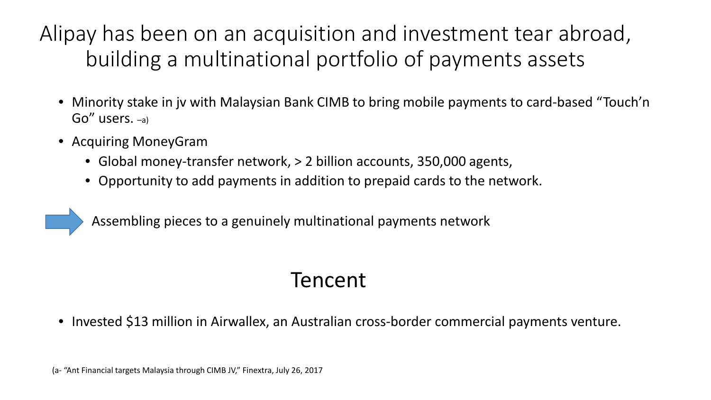Alipay has been on an acquisition and investment tear abroad, building a multinational portfolio of payments assets

- Minority stake in jv with Malaysian Bank CIMB to bring mobile payments to card-based "Touch'n Go" users. –a)
- Acquiring MoneyGram
	- Global money-transfer network,  $> 2$  billion accounts, 350,000 agents,
	- Opportunity to add payments in addition to prepaid cards to the network.

Assembling pieces to a genuinely multinational payments network

#### Tencent

• Invested \$13 million in Airwallex, an Australian cross-border commercial payments venture.

(a- "Ant Financial targets Malaysia through CIMB JV," Finextra, July 26, 2017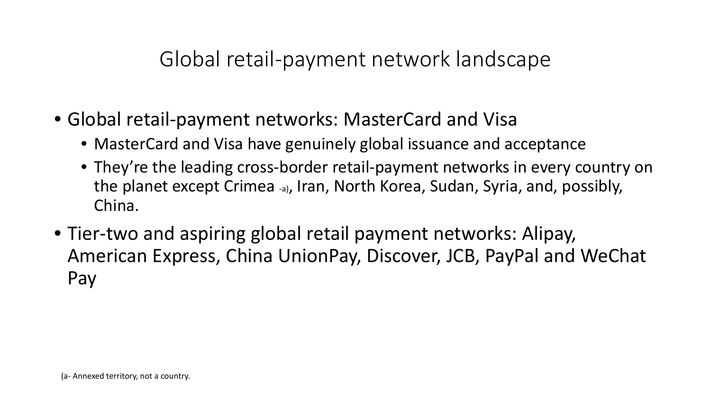#### Global retail-payment network landscape

- Global retail-payment networks: MasterCard and Visa
	- MasterCard and Visa have genuinely global issuance and acceptance
	- They're the leading cross-border retail-payment networks in every country on the planet except Crimea -a), Iran, North Korea, Sudan, Syria, and, possibly, China.
- Tier-two and aspiring global retail payment networks: Alipay, American Express, China UnionPay, Discover, JCB, PayPal and WeChat Pay